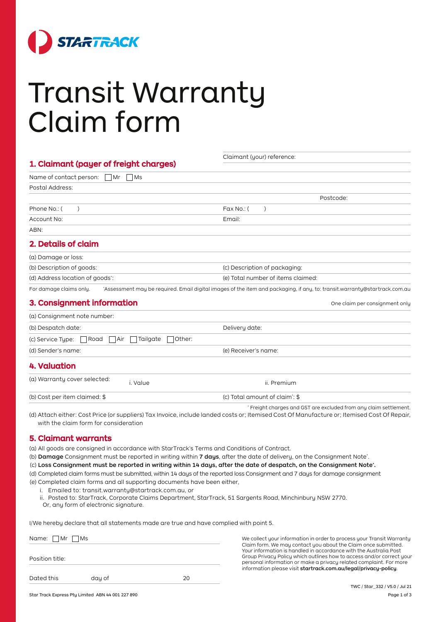

# Transit Warranty Claim form

| 1. Claimant (payer of freight charges)                               | Claimant (your) reference:                                                                                                                                                                                        |  |
|----------------------------------------------------------------------|-------------------------------------------------------------------------------------------------------------------------------------------------------------------------------------------------------------------|--|
| Name of contact person:<br>  Mr<br><b>Ms</b>                         |                                                                                                                                                                                                                   |  |
| Postal Address:                                                      |                                                                                                                                                                                                                   |  |
|                                                                      | Postcode:                                                                                                                                                                                                         |  |
| Phone No.: (<br>$\lambda$                                            | Fax No.: (<br>$\lambda$                                                                                                                                                                                           |  |
| Account No:                                                          | Email:                                                                                                                                                                                                            |  |
| ABN:                                                                 |                                                                                                                                                                                                                   |  |
| 2. Details of claim                                                  |                                                                                                                                                                                                                   |  |
| (a) Damage or loss:                                                  |                                                                                                                                                                                                                   |  |
| (b) Description of goods:                                            | (c) Description of packaging:                                                                                                                                                                                     |  |
| (d) Address location of goods":                                      | (e) Total number of items claimed:                                                                                                                                                                                |  |
| For damage claims only.                                              | 'Assessment may be required. Email digital images of the item and packaging, if any, to: transit.warranty@startrack.com.au                                                                                        |  |
| 3. Consignment information                                           | One claim per consignment only                                                                                                                                                                                    |  |
| (a) Consignment note number:                                         |                                                                                                                                                                                                                   |  |
| (b) Despatch date:                                                   | Delivery date:                                                                                                                                                                                                    |  |
| (c) Service Tupe:<br>Road<br>Tailgate<br>Other:<br>    Air           |                                                                                                                                                                                                                   |  |
| (d) Sender's name:                                                   | (e) Receiver's name:                                                                                                                                                                                              |  |
| <b>4. Valuation</b>                                                  |                                                                                                                                                                                                                   |  |
| (a) Warranty cover selected:<br>i. Value                             | ii. Premium                                                                                                                                                                                                       |  |
| (b) Cost per item claimed: \$                                        | (c) Total amount of claim <sup>*</sup> : \$                                                                                                                                                                       |  |
| with the claim form for consideration<br><b>5. Claimant warrants</b> | * Freight charges and GST are excluded from any claim settlement.<br>(d) Attach either: Cost Price (or suppliers) Tax Invoice, include landed costs or; Itemised Cost Of Manufacture or; Itemised Cost Of Repair, |  |
|                                                                      |                                                                                                                                                                                                                   |  |

(a) All goods are consigned in accordance with StarTrack's Terms and Conditions of Contract.

(b) Damage Consignment must be reported in writing within 7 days, after the date of delivery, on the Consignment Note\*.

(c) Loss Consignment must be reported in writing within 14 days, after the date of despatch, on the Consignment Note\* .

(d) Completed claim forms must be submitted, within 14 days of the reported loss Consignment and 7 days for damage consignment (e) Completed claim forms and all supporting documents have been either,

- i. Emailed to: transit.warranty@startrack.com.au, or
- ii. Posted to: StarTrack, Corporate Claims Department, StarTrack, 51 Sargents Road, Minchinbury NSW 2770.

Or, any form of electronic signature.

I/We hereby declare that all statements made are true and have complied with point 5.

| Name: $\Box$ Mr $\Box$ Ms |        |    |
|---------------------------|--------|----|
|                           |        |    |
| Position title:           |        |    |
|                           |        |    |
| Dated this                | day of | 20 |

We collect your information in order to process your Transit Warranty Claim form. We may contact you about the Claim once submitted. Your information is handled in accordance with the Australia Post Group Privacy Policy which outlines how to access and/or correct your personal information or make a privacy related complaint. For more information please visit startrack.com.au/legal/privacy-policy.

Star Track Express Pty Limited ABN 44 001 227 890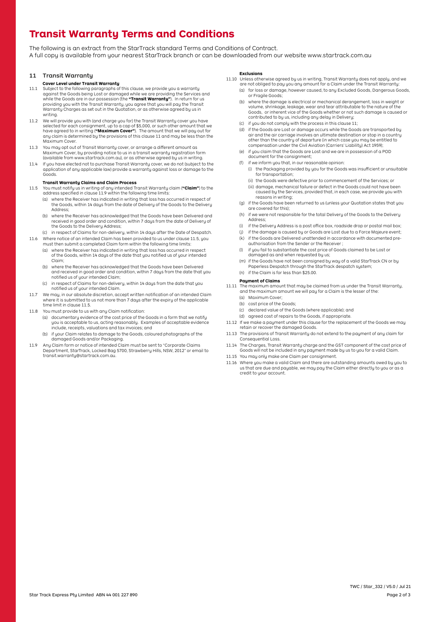## **Transit Warranty Terms and Conditions**

The following is an extract from the StarTrack standard Terms and Conditions of Contract. A full copy is available from your nearest StarTrack branch or can be downloaded from our website<www.startrack.com.au>

#### 11 Transit Warranty

#### **Cover Level under Transit Warranty**

- 11.1 Subject to the following paragraphs of this clause, we provide you a warranty against the Goods being Lost or damaged while we are providing the Services and while the Goods are in our possession (the **"Transit Warranty"**). In return for us providing you with the Transit Warranty, you agree that you will pay the Transit Warranty Charges as set out in the Quotation, or as otherwise agreed by us in writing.
- 11.2 We will provide you with (and charge you for) the Transit Warranty cover you have selected for each consignment, up to a cap of \$5,000, or such other amount that we have agreed to in writing (**"Maximum Cover"**). The amount that we will pay out for any claim is determined by the provisions of this clause 11 and may be less than the Maximum Cover.
- 11.3 You may opt out of Transit Warranty cover, or arrange a different amount as Maximum Cover, by providing notice to us in a transit warranty registration form (available from <www.startrack.com.au>), or as otherwise agreed by us in writing.
- 11.4 If you have elected not to purchase Transit Warranty cover, we do not (subject to the application of any applicable law) provide a warranty against loss or damage to the Goods.

#### **Transit Warranty Claims and Claim Process**

- 11.5 You must notify us in writing of any intended Transit Warranty claim (**"Claim"**) to the address specified in clause 11.9 within the following time limits:
	- (a) where the Receiver has indicated in writing that loss has occurred in respect of the Goods, within 14 days from the date of Delivery of the Goods to the Delivery Address;
	- (b) where the Receiver has acknowledged that the Goods have been Delivered and received in good order and condition, within 7 days from the date of Delivery of the Goods to the Deliveru Address;
- (c) in respect of Claims for non-delivery, within 14 days after the Date of Despatch. 11.6 Where notice of an intended Claim has been provided to us under clause 11.5, you
	- must then submit a completed Claim form within the following time limits: (a) where the Receiver has indicated in writing that loss has occurred in respect of the Goods, within 14 days of the date that you notified us of your intended Claim;
	- (b) where the Receiver has acknowledged that the Goods have been Delivered and received in good order and condition, within 7 days from the date that you notified us of your intended Claim;
	- (c) in respect of Claims for non-delivery, within 14 days from the date that you notified us of your intended Claim.
- 11.7 We may, in our absolute discretion, accept written notification of an intended Claim where it is submitted to us not more than 7 days after the expiry of the applicable time limit in clause 11.5.
- 11.8 You must provide to us with any Claim notification:
	- (a) documentary evidence of the cost price of the Goods in a form that we notify you is acceptable to us, acting reasonably. Examples of acceptable evidence include, receipts, valuations and tax invoices; and
	- (b) if your Claim relates to damage to the Goods, coloured photographs of the damaged Goods and/or Packaging.
- 11.9 Any Claim form or notice of intended Claim must be sent to "Corporate Claims Department, StarTrack, Locked Bag 5700, Strawberry Hills, NSW, 2012" or email to transit.warranty@startrack.com.au.

#### **Exclusions**

- 11.10 Unless otherwise agreed by us in writing, Transit Warranty does not apply, and we are not obliged to pay you any amount for a Claim under the Transit Warranty:
	- (a) for loss or damage, however caused, to any Excluded Goods, Dangerous Goods, or Fragile Goods;
	- (b) where the damage is electrical or mechanical derangement, loss in weight or volume, shrinkage, leakage, wear and tear attributable to the nature of the Goods, or inherent vice of the Goods whether or not such damage is caused or contributed to by us, including any delay in Delivery;
	- (c) if you do not comply with the process in this clause 11;
	- (d) if the Goods are Lost or damage occurs while the Goods are transported by air and the air carriage involves an ultimate destination or stop in a country other than the country of departure (in which case you may be entitled to compensation under the Civil Aviation (Carriers' Liability) Act 1959);
	- (e) if you claim that the Goods are Lost and we are in possession of a POD document for the consignment;
	- (f) if we inform you that, in our reasonable opinion:
		- (i) the Packaging provided by you for the Goods was insufficient or unsuitable for transportation;
		- (ii) the Goods were defective prior to commencement of the Services; or
		- (iii) damage, mechanical failure or defect in the Goods could not have been caused by the Services, provided that, in each case, we provide you with reasons in writing;
	- (g) if the Goods have been returned to us (unless your Quotation states that you are covered for this);
	- (h) if we were not responsible for the total Delivery of the Goods to the Delivery Address;
	- (i) if the Delivery Address is a post office box, roadside drop or postal mail box;
	- if the damage is caused by or Goods are Lost due to a Force Majeure event;
	- (k) if the Goods are Delivered unattended in accordance with documented preauthorisation from the Sender or the Receiver ;
	- (l) if you fail to substantiate the cost price of Goods claimed to be Lost or damaged as and when requested by us;
	- (m) if the Goods have not been consigned by way of a valid StarTrack CN or by Paperless Despatch through the StarTrack despatch system; (n) if the Claim is for less than \$25.00.

### **Payment of Claims**

- 11.11 The maximum amount that may be claimed from us under the Transit Warranty, and the maximum amount we will pay for a Claim is the lesser of the:
	- (a) Maximum Cover;
	- (b) cost price of the Goods;
	- (c) declared value of the Goods (where applicable); and
	- (d) agreed cost of repairs to the Goods, if appropriate.
- 11.12 If we make a payment under this clause for the replacement of the Goods we may retain or recover the damaged Goods.
- 11.13 The provisions of Transit Warranty do not extend to the payment of any claim for Consequential Loss.
- 11.14 The Charges, Transit Warranty charge and the GST component of the cost price of Goods will not be included in any payment made by us to you for a valid Claim.
- 11.15 You may only make one Claim per consignment.
- 11.16 Where you make a valid Claim and there are outstanding amounts owed by you to us that are due and payable, we may pay the Claim either directly to you or as a credit to your account.